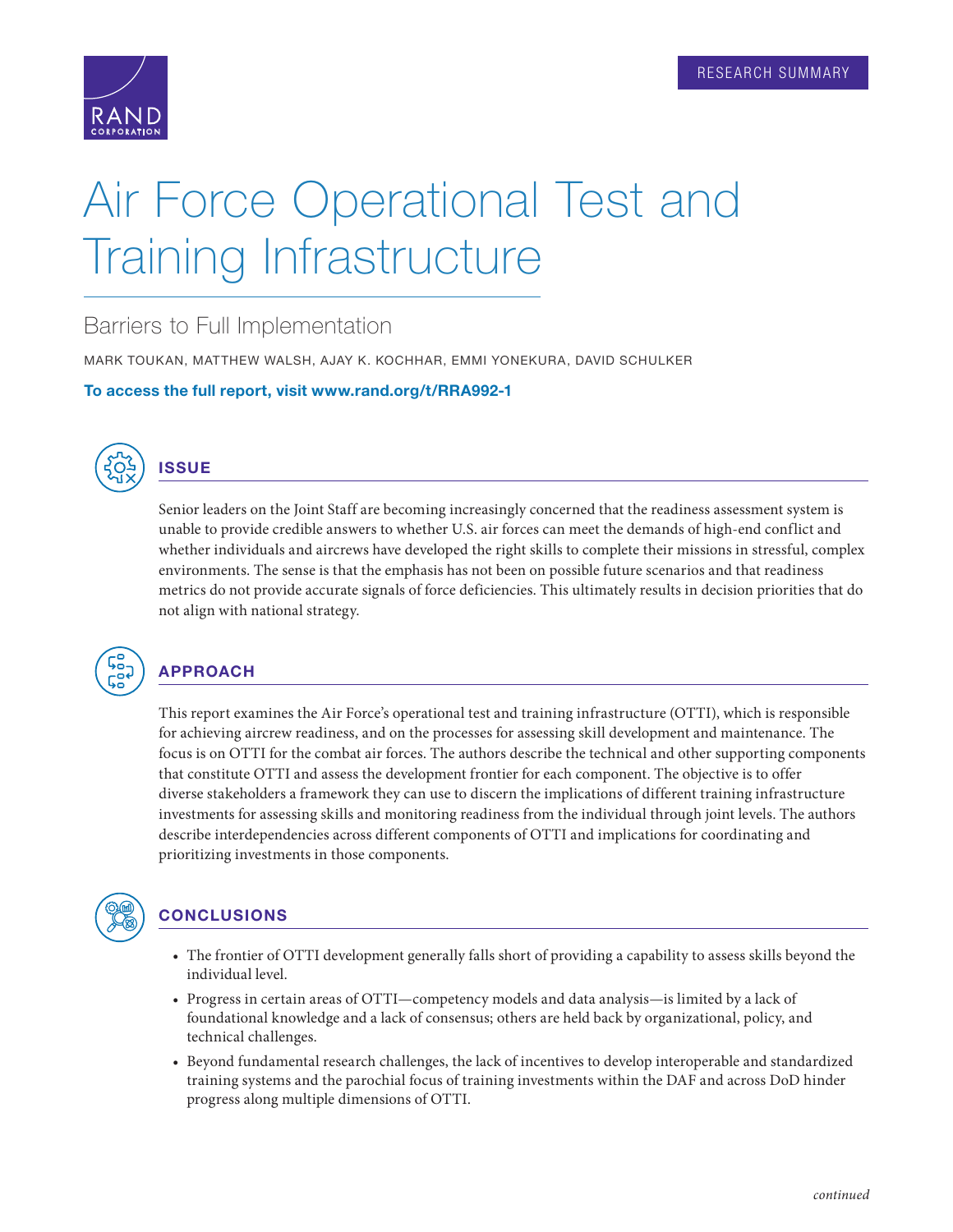

# Air Force Operational Test and Training Infrastructure

### Barriers to Full Implementation

MARK TOUKAN, MATTHEW WALSH, AJAY K. KOCHHAR, EMMI YONEKURA, DAVID SCHULKER

To access the full report, visit [www.rand.org/t/RRA992-1](http://www.rand.org/t/RRA992-1)



## ISSUE

Senior leaders on the Joint Staff are becoming increasingly concerned that the readiness assessment system is unable to provide credible answers to whether U.S. air forces can meet the demands of high-end conflict and whether individuals and aircrews have developed the right skills to complete their missions in stressful, complex environments. The sense is that the emphasis has not been on possible future scenarios and that readiness metrics do not provide accurate signals of force deficiencies. This ultimately results in decision priorities that do not align with national strategy.



#### APPROACH

This report examines the Air Force's operational test and training infrastructure (OTTI), which is responsible for achieving aircrew readiness, and on the processes for assessing skill development and maintenance. The focus is on OTTI for the combat air forces. The authors describe the technical and other supporting components that constitute OTTI and assess the development frontier for each component. The objective is to offer diverse stakeholders a framework they can use to discern the implications of different training infrastructure investments for assessing skills and monitoring readiness from the individual through joint levels. The authors describe interdependencies across different components of OTTI and implications for coordinating and prioritizing investments in those components.



#### CONCLUSIONS

- The frontier of OTTI development generally falls short of providing a capability to assess skills beyond the individual level.
- Progress in certain areas of OTTI—competency models and data analysis—is limited by a lack of foundational knowledge and a lack of consensus; others are held back by organizational, policy, and technical challenges.
- Beyond fundamental research challenges, the lack of incentives to develop interoperable and standardized training systems and the parochial focus of training investments within the DAF and across DoD hinder progress along multiple dimensions of OTTI.